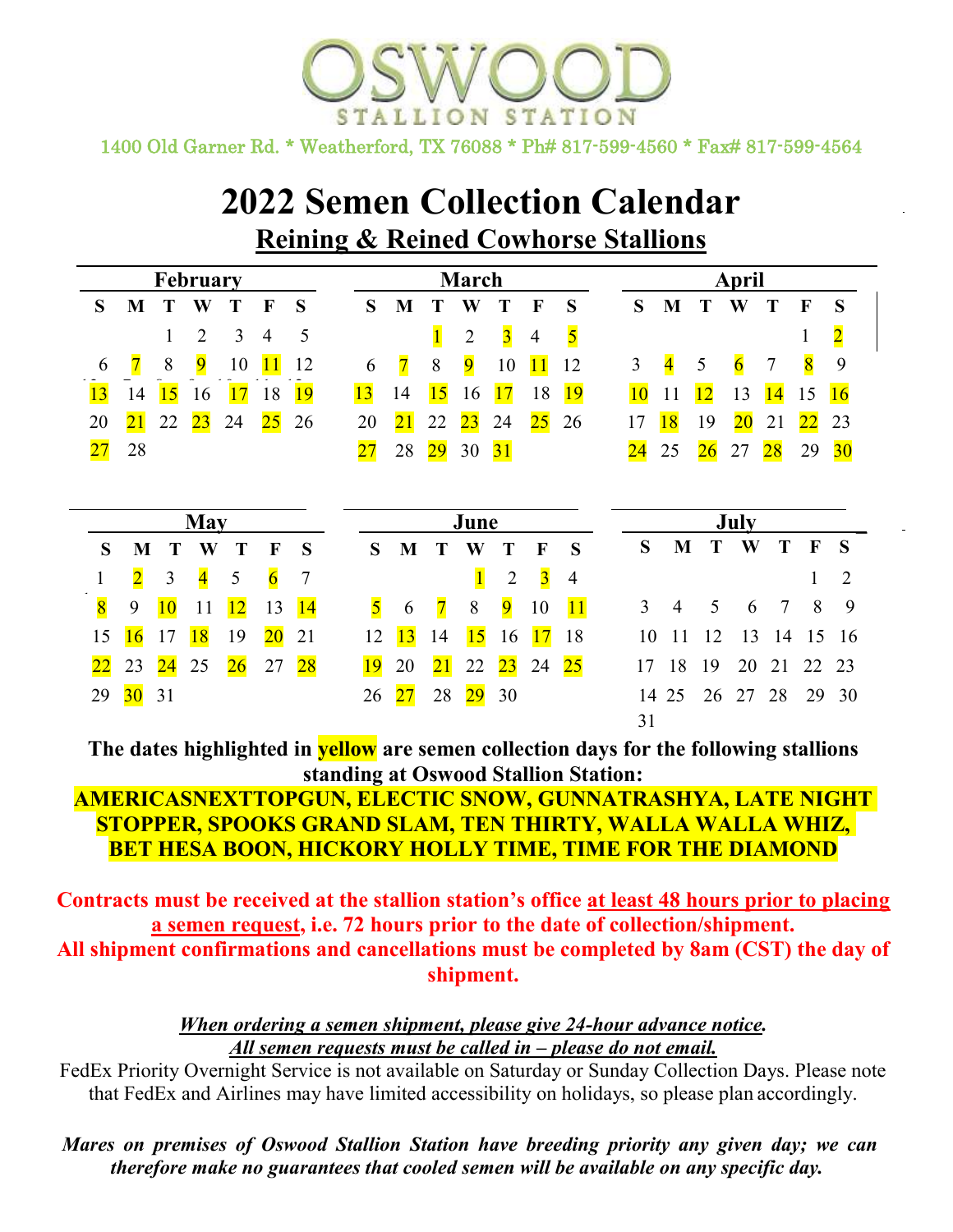ION 1400 Old Garner Rd. \* Weatherford, TX 76088 \* Ph# 817-599-4560 \* Fax# 817-599-4564

# **2022 Semen Collection Calendar Reining & Reined Cowhorse Stallions**

|                 |                |                 | <b>February</b>         |                 |                 |                 |                         |                 |                 | March           |                         |                |                         | April           |                         |    |                |                |                 |                |  |
|-----------------|----------------|-----------------|-------------------------|-----------------|-----------------|-----------------|-------------------------|-----------------|-----------------|-----------------|-------------------------|----------------|-------------------------|-----------------|-------------------------|----|----------------|----------------|-----------------|----------------|--|
| S               | M              |                 | W                       | Т               | $\mathbf F$     | S               | S                       | M               |                 | W               |                         | F              | S                       | S               | M                       | T  | W              | T              | $\mathbf{F}$    | S              |  |
|                 |                | 1               | $\overline{2}$          | 3               | $\overline{4}$  | 5               |                         |                 | $\mathbf{1}$    | $\overline{2}$  | $\overline{\mathbf{3}}$ | $\overline{4}$ | $\overline{\mathbf{5}}$ |                 |                         |    |                |                | $\mathbf{I}$    | $\overline{2}$ |  |
| 6               | $\overline{7}$ | 8               | $\overline{9}$          | 10              | 11              | 12              | 6                       | $\overline{7}$  | 8               | $\overline{9}$  | 10                      | 11             | 12                      | 3               | $\overline{\mathbf{4}}$ | 5  | $\overline{6}$ | $\overline{7}$ | $\bf{8}$        | 9              |  |
| 13              | 14             | 15              | 16                      | 17              | 18              | 19              | 13                      | 14              | 15              | 16              | 17                      | 18             | 19                      | 10              | 11                      | 12 | 13             | 14             | 15              | 16             |  |
| 20              | 21             | 22              | 23                      | 24              | 25              | 26              | 20                      | $\overline{21}$ | 22              | $\overline{23}$ | 24                      | $25\,$         | 26                      | 17              | 18                      | 19 | $20\,$         | 21             | $\overline{22}$ | 23             |  |
| 27              | 28             |                 |                         |                 |                 |                 | 27                      | 28              | $\overline{29}$ | 30              | 31                      |                |                         | $\overline{24}$ | 25                      | 26 | 27             | 28             | 29              | 30             |  |
|                 |                |                 |                         | June            |                 |                 |                         | July            |                 |                 |                         |                |                         |                 |                         |    |                |                |                 |                |  |
| S               | M              | T               | W                       | T               | $\mathbf F$     | S               | S                       | M               | T               | W               | T                       | F              | S                       | S               | M                       | T  | W              | T              | $\mathbf F$     | S              |  |
| $\mathbf{1}$    | $\overline{2}$ | 3               | $\overline{\mathbf{4}}$ | 5               | $\overline{6}$  | $\overline{7}$  |                         |                 |                 | $\overline{1}$  | $\overline{2}$          | $\overline{3}$ | $\overline{4}$          |                 |                         |    |                |                |                 | $\overline{2}$ |  |
| $\overline{8}$  | 9              | 10              | 11                      | 12              | 13              | 14              | $\overline{\mathbf{5}}$ | 6               | $\overline{7}$  | 8               | $\overline{9}$          | 10             | 11                      | 3               | 4                       | 5  | 6              | 7              | 8               | 9              |  |
| 15              | 16             | 17              | 18                      | 19              | $\overline{20}$ | 21              | 12                      | 13              | 14              | 15              | 16                      | 17             | 18                      | 10              | 11                      | 12 | 13             | 14             | 15              | 16             |  |
| $\overline{22}$ | 23             | $\overline{24}$ | 25                      | $\overline{26}$ | 27              | $\overline{28}$ | 19                      | 20              | $\overline{21}$ | 22              | $\overline{23}$         | 24             | 25                      | 17              | 18                      | 19 | 20             | 21             | 22              | 23             |  |
| 29              | $30\,$         | 31              |                         |                 |                 |                 | 26                      | 27              | 28              | <u>29</u>       | 30                      |                |                         | 14              | 25                      | 26 | 27             | 28             | 29              | 30             |  |
|                 |                |                 |                         |                 |                 |                 |                         |                 |                 |                 |                         |                |                         | 31              |                         |    |                |                |                 |                |  |

**The dates highlighted in yellow are semen collection days for the following stallions standing at Oswood Stallion Station:** 

## **AMERICASNEXTTOPGUN, ELECTIC SNOW, GUNNATRASHYA, LATE NIGHT STOPPER, SPOOKS GRAND SLAM, TEN THIRTY, WALLA WALLA WHIZ, BET HESA BOON, HICKORY HOLLY TIME, TIME FOR THE DIAMOND**

**Contracts must be received at the stallion station's office at least 48 hours prior to placing a semen request, i.e. 72 hours prior to the date of collection/shipment. All shipment confirmations and cancellations must be completed by 8am (CST) the day of shipment.**

#### *When ordering a semen shipment, please give 24-hour advance notice. All semen requests must be called in – please do not email.*

FedEx Priority Overnight Service is not available on Saturday or Sunday Collection Days. Please note that FedEx and Airlines may have limited accessibility on holidays, so please plan accordingly.

*Mares on premises of Oswood Stallion Station have breeding priority any given day; we can therefore make no guarantees that cooled semen will be available on any specific day.*